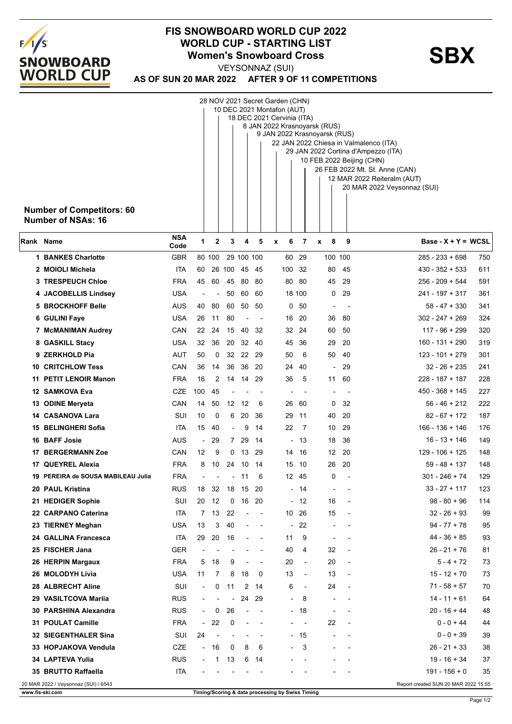

## **FIS SNOWBOARD WORLD CUP 2022** WORLD CUP - STARTING LIST<br>
Women's Snowboard Cross<br>
WEXSONNAZ (SLIN

**AS OF SUN 20 MAR 2022 AFTER 9 OF 11 COMPETITIONS** VEYSONNAZ (SUI)

|                                                          |                                                         |                                                                               |                              |                          |                |            |       | 28 NOV 2021 Secret Garden (CHN)                  |                          |                          |        |         |                                                            |  |  |
|----------------------------------------------------------|---------------------------------------------------------|-------------------------------------------------------------------------------|------------------------------|--------------------------|----------------|------------|-------|--------------------------------------------------|--------------------------|--------------------------|--------|---------|------------------------------------------------------------|--|--|
| 10 DEC 2021 Montafon (AUT)<br>18 DEC 2021 Cervinia (ITA) |                                                         |                                                                               |                              |                          |                |            |       |                                                  |                          |                          |        |         |                                                            |  |  |
|                                                          |                                                         |                                                                               | 8 JAN 2022 Krasnoyarsk (RUS) |                          |                |            |       |                                                  |                          |                          |        |         |                                                            |  |  |
| 9 JAN 2022 Krasnoyarsk (RUS)                             |                                                         |                                                                               |                              |                          |                |            |       |                                                  |                          |                          |        |         |                                                            |  |  |
|                                                          |                                                         | 22 JAN 2022 Chiesa in Valmalenco (ITA)<br>29 JAN 2022 Cortina d'Ampezzo (ITA) |                              |                          |                |            |       |                                                  |                          |                          |        |         |                                                            |  |  |
|                                                          |                                                         |                                                                               |                              |                          |                |            |       |                                                  |                          |                          |        |         | 10 FEB 2022 Beijing (CHN)                                  |  |  |
|                                                          |                                                         |                                                                               |                              |                          |                |            |       |                                                  |                          |                          |        |         | 26 FEB 2022 Mt. St. Anne (CAN)                             |  |  |
|                                                          |                                                         |                                                                               |                              |                          |                |            |       |                                                  |                          |                          |        |         | 12 MAR 2022 Reiteralm (AUT)<br>20 MAR 2022 Veysonnaz (SUI) |  |  |
|                                                          |                                                         |                                                                               |                              |                          |                |            |       |                                                  |                          |                          |        |         |                                                            |  |  |
|                                                          | <b>Number of Competitors: 60</b>                        |                                                                               |                              |                          |                |            |       |                                                  |                          |                          |        |         |                                                            |  |  |
|                                                          | <b>Number of NSAs: 16</b>                               |                                                                               |                              |                          |                |            |       |                                                  |                          |                          |        |         |                                                            |  |  |
|                                                          |                                                         |                                                                               |                              |                          |                |            |       |                                                  |                          |                          |        |         |                                                            |  |  |
|                                                          | Rank Name                                               | <b>NSA</b><br>Code                                                            | 1                            | $\mathbf{2}$             | 3              | 4          | 5     | $\pmb{\chi}$                                     | 6                        | 7                        | 8<br>x | 9       | $Base - X + Y = WCSL$                                      |  |  |
|                                                          | 1 BANKES Charlotte                                      | GBR                                                                           |                              | 80 100                   |                | 29 100 100 |       |                                                  | 60                       | 29                       |        | 100 100 | 285 - 233 + 698<br>750                                     |  |  |
|                                                          | 2 MOIOLI Michela                                        | ITA                                                                           | 60                           | 26                       | 100            | 45         | -45   |                                                  | 100                      | 32                       | 80     | 45      | $430 - 352 + 533$<br>611                                   |  |  |
|                                                          | <b>3 TRESPEUCH Chloe</b>                                | <b>FRA</b>                                                                    | 45                           | 60                       | 45             | 80         | 80    |                                                  |                          | 80 80                    | 45     | 29      | 256 - 209 + 544<br>591                                     |  |  |
|                                                          | 4 JACOBELLIS Lindsey                                    | USA                                                                           | $\overline{a}$               |                          | 50             | 60         | -60   |                                                  |                          | 18 100                   | 0      | 29      | $241 - 197 + 317$<br>361                                   |  |  |
|                                                          | <b>5 BROCKHOFF Belle</b>                                | AUS                                                                           | 40                           | 80                       | 60             | 50         | 50    |                                                  |                          | 0 <sub>50</sub>          |        |         | $58 - 47 + 330$<br>341                                     |  |  |
|                                                          | 6 GULINI Faye                                           | USA                                                                           | 26                           | 11                       | 80             |            |       |                                                  |                          | 16 20                    | 36     | 80      | $302 - 247 + 269$<br>324                                   |  |  |
|                                                          | 7 McMANIMAN Audrey                                      | CAN                                                                           | 22                           | 24                       | 15             | 40         | 32    |                                                  |                          | 32 24                    | 60     | 50      | $117 - 96 + 299$<br>320                                    |  |  |
|                                                          | 8 GASKILL Stacy                                         | USA                                                                           | 32                           | 36                       | 20             |            | 32 40 |                                                  |                          | 45 36                    | 29     | 20      | 160 - 131 + 290<br>319                                     |  |  |
|                                                          | 9 ZERKHOLD Pia                                          | AUT                                                                           | 50                           | 0                        | 32             | 22         | 29    |                                                  | 50                       | 6                        | 50     | 40      | $123 - 101 + 279$<br>301                                   |  |  |
|                                                          | <b>10 CRITCHLOW Tess</b>                                | CAN                                                                           | 36                           | 14                       | 36             | 36         | 20    |                                                  | 24                       | 40                       |        | 29      | $32 - 26 + 235$<br>241                                     |  |  |
|                                                          | 11 PETIT LENOIR Manon                                   | <b>FRA</b>                                                                    | 16                           | 2                        | 14             | 14         | 29    |                                                  | 36                       | 5                        | 11     | 60      | 228 - 187 + 187<br>228                                     |  |  |
|                                                          | 12 SAMKOVA Eva                                          | CZE                                                                           | 100                          | 45                       |                |            |       |                                                  |                          |                          |        |         | $450 - 368 + 145$<br>227                                   |  |  |
|                                                          | 13 ODINE Meryeta                                        | CAN                                                                           | 14                           | 50                       | 12             | 12         | 6     |                                                  | 26                       | 60                       | 0      | 32      | 56 - 46 + 212<br>222                                       |  |  |
|                                                          | 14 CASANOVA Lara                                        | SUI                                                                           | 10                           | 0                        | 6              | 20         | 36    |                                                  | 29 11                    |                          | 40     | 20      | $82 - 67 + 172$<br>187                                     |  |  |
|                                                          | 15 BELINGHERI Sofia                                     | ITA                                                                           | 15                           | 40                       |                | 9          | 14    |                                                  | 22                       | 7                        | 10     | 29      | $166 - 136 + 146$<br>176                                   |  |  |
|                                                          | 16 BAFF Josie                                           | AUS                                                                           | ÷,                           | 29                       | $7^{\circ}$    | 29         | 14    |                                                  | $\overline{\phantom{a}}$ | 13                       | 18     | 36      | $16 - 13 + 146$<br>149                                     |  |  |
| 17                                                       | <b>BERGERMANN Zoe</b>                                   | CAN                                                                           | 12                           | 9                        | 0              | 13         | 29    |                                                  | 14                       | 16                       | 12     | 20      | $129 - 106 + 125$<br>148                                   |  |  |
| 17                                                       | <b>QUEYREL Alexia</b>                                   | <b>FRA</b>                                                                    | 8                            | 10                       | 24             | 10         | 14    |                                                  | 15                       | -10                      | 26     | 20      | 59 - 48 + 137<br>148                                       |  |  |
|                                                          | 19 PEREIRA de SOUSA MABILEAU Julia                      | <b>FRA</b>                                                                    |                              |                          |                | 11         | 6     |                                                  |                          | 12 45                    | 0      |         | $301 - 246 + 74$<br>129                                    |  |  |
|                                                          | 20 PAUL Kristina                                        | <b>RUS</b>                                                                    | 18                           | 32                       | 18             | 15         | 20    |                                                  |                          | - 14                     |        |         | $33 - 27 + 117$<br>123<br>$\overline{a}$                   |  |  |
|                                                          | 21 HEDIGER Sophie                                       | SUI                                                                           | 20                           | 12                       | 0              | 16         | 20    |                                                  | $\blacksquare$           | 12                       | 16     |         | 114<br>$98 - 80 + 96$<br>$\overline{\phantom{a}}$          |  |  |
|                                                          | 22 CARPANO Caterina                                     | ITA                                                                           |                              | 7 13                     | 22             |            |       |                                                  |                          | 10 26                    | 15     |         | 99<br>32 - 26 + 93                                         |  |  |
|                                                          | 23 TIERNEY Meghan                                       | USA                                                                           | 13                           | 3                        | 40             |            |       |                                                  | $\overline{\phantom{a}}$ | 22                       |        |         | $94 - 77 + 78$<br>95                                       |  |  |
|                                                          | 24 GALLINA Francesca                                    | <b>ITA</b>                                                                    | 29                           | 20                       | 16             |            |       |                                                  | 11                       | 9                        |        |         | $44 - 36 + 85$<br>93                                       |  |  |
|                                                          | 25 FISCHER Jana                                         | GER                                                                           |                              |                          |                |            |       |                                                  | 40                       | 4                        | 32     |         | 26 - 21 + 76<br>81<br>$\overline{a}$                       |  |  |
|                                                          | 26 HERPIN Margaux                                       | <b>FRA</b>                                                                    | 5                            | 18                       | 9              |            |       |                                                  | 20                       | $\overline{\phantom{a}}$ | 20     |         | $5 - 4 + 72$<br>73<br>$\overline{a}$                       |  |  |
|                                                          | 26 MOLODYH Livia                                        | <b>USA</b>                                                                    | 11                           | 7                        | 8              | 18         | 0     |                                                  | 13                       | $\overline{\phantom{a}}$ | 13     |         | $15 - 12 + 70$<br>73<br>$\overline{\phantom{a}}$           |  |  |
|                                                          | 28 ALBRECHT Aline                                       | SUI                                                                           | $\overline{\phantom{a}}$     | 0                        | 11             | 2          | - 14  |                                                  | 6                        | $\overline{\phantom{a}}$ | 24     |         | $71 - 58 + 57$<br>70<br>$\overline{a}$                     |  |  |
|                                                          |                                                         |                                                                               |                              |                          | $\overline{a}$ |            |       |                                                  |                          |                          |        |         | $14 - 11 + 61$                                             |  |  |
|                                                          | 29 VASILTCOVA Mariia                                    | <b>RUS</b>                                                                    | $\overline{\phantom{a}}$     |                          |                | 24         | 29    |                                                  | $\blacksquare$           | 8                        |        |         | 64                                                         |  |  |
|                                                          | 30 PARSHINA Alexandra                                   | <b>RUS</b>                                                                    | $\overline{\phantom{a}}$     | 0                        | 26             |            |       |                                                  | $\sim$                   | 18                       |        |         | 20 - 16 + 44<br>48                                         |  |  |
|                                                          | 31 POULAT Camille                                       | <b>FRA</b>                                                                    | $\blacksquare$               | 22                       | 0              |            |       |                                                  | $\overline{\phantom{a}}$ | $\overline{\phantom{a}}$ | 22     |         | $0 - 0 + 44$<br>44<br>$\overline{a}$                       |  |  |
|                                                          | 32 SIEGENTHALER Sina                                    | SUI                                                                           | 24                           | $\overline{\phantom{0}}$ |                |            |       |                                                  | $\overline{\phantom{a}}$ | 15                       |        |         | $0 - 0 + 39$<br>39                                         |  |  |
|                                                          | 33 HOPJAKOVA Vendula                                    | <b>CZE</b>                                                                    | $\sim$                       | 16                       | 0              | 8          | 6     |                                                  |                          | 3                        |        |         | 26 - 21 + 33<br>38                                         |  |  |
|                                                          | 34 LAPTEVA Yulia                                        | <b>RUS</b>                                                                    | $\overline{\phantom{a}}$     | 1                        | 13             | 6          | 14    |                                                  |                          |                          |        |         | $19 - 16 + 34$<br>37                                       |  |  |
|                                                          | 35 BRUTTO Raffaella                                     | <b>ITA</b>                                                                    |                              |                          |                |            |       |                                                  |                          |                          |        |         | 191 - 156 + 0<br>35                                        |  |  |
|                                                          | 20 MAR 2022 / Veysonnaz (SUI) / 6543<br>www.fis-ski.com |                                                                               |                              |                          |                |            |       | Timing/Scoring & data processing by Swiss Timing |                          |                          |        |         | Report created SUN 20 MAR 2022 15:55                       |  |  |